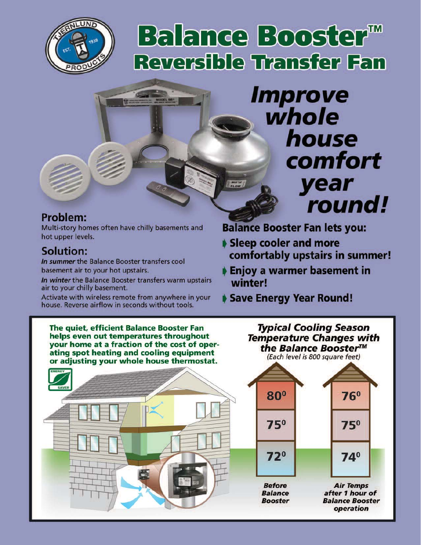

# Balance Booster<sup>™</sup> **Reversible Transfer Fan**

 $\frac{1}{\sqrt{\frac{1}{2}}}\frac{1}{\sqrt{\frac{1}{2}}}}$ 

# **Improve** whole house comfort year round!

# **Problem:**

Multi-story homes often have chilly basements and hot upper levels.

# **Solution:**

In summer the Balance Booster transfers cool basement air to your hot upstairs.

In winter the Balance Booster transfers warm upstairs air to your chilly basement.

Activate with wireless remote from anywhere in your house. Reverse airflow in seconds without tools.

**Balance Booster Fan lets you:** 

- Sleep cooler and more comfortably upstairs in summer!
- Enjoy a warmer basement in winter!

# Save Energy Year Round!

The quiet, efficient Balance Booster Fan helps even out temperatures throughout your home at a fraction of the cost of operating spot heating and cooling equipment or adjusting your whole house thermostat.

the Balance Booster™ (Each level is 800 square feet)  $80<sup>o</sup>$  $76<sup>o</sup>$  $75^\circ$  $75^\circ$  $72^{\circ}$  $74^\circ$ 

**Typical Cooling Season** 

**Temperature Changes with** 

**Before Balance Booster** 

**Air Temps** after 1 hour of **Balance Booster** operation